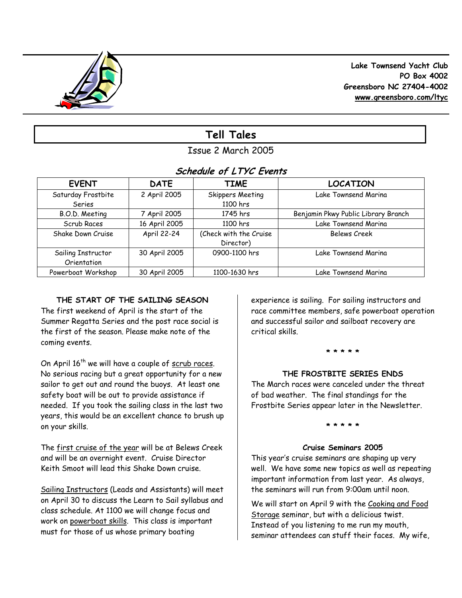

 **Lake Townsend Yacht Club PO Box 4002 Greensboro NC 27404-4002 www.greensboro.com/ltyc** 

# **Tell Tales**

# Issue 2 March 2005

# **Schedule of LTYC Events**

| <b>EVENT</b>       | <b>DATE</b>   | <b>TIME</b>             | <b>LOCATION</b>                     |
|--------------------|---------------|-------------------------|-------------------------------------|
| Saturday Frostbite | 2 April 2005  | <b>Skippers Meeting</b> | Lake Townsend Marina                |
| Series             |               | 1100 hrs                |                                     |
| B.O.D. Meeting     | 7 April 2005  | 1745 hrs                | Benjamin Pkwy Public Library Branch |
| Scrub Races        | 16 April 2005 | 1100 hrs                | Lake Townsend Marina                |
| Shake Down Cruise  | April 22-24   | (Check with the Cruise  | <b>Belews Creek</b>                 |
|                    |               | Director)               |                                     |
| Sailing Instructor | 30 April 2005 | 0900-1100 hrs           | Lake Townsend Marina                |
| Orientation        |               |                         |                                     |
| Powerboat Workshop | 30 April 2005 | 1100-1630 hrs           | Lake Townsend Marina                |

# **THE START OF THE SAILING SEASON**

The first weekend of April is the start of the Summer Regatta Series and the post race social is the first of the season. Please make note of the coming events.

On April  $16<sup>th</sup>$  we will have a couple of scrub races. No serious racing but a great opportunity for a new sailor to get out and round the buoys. At least one safety boat will be out to provide assistance if needed. If you took the sailing class in the last two years, this would be an excellent chance to brush up on your skills.

The first cruise of the year will be at Belews Creek and will be an overnight event. Cruise Director Keith Smoot will lead this Shake Down cruise.

Sailing Instructors (Leads and Assistants) will meet on April 30 to discuss the Learn to Sail syllabus and class schedule. At 1100 we will change focus and work on powerboat skills. This class is important must for those of us whose primary boating

experience is sailing. For sailing instructors and race committee members, safe powerboat operation and successful sailor and sailboat recovery are critical skills.

### **\* \* \* \* \***

## **THE FROSTBITE SERIES ENDS**

The March races were canceled under the threat of bad weather. The final standings for the Frostbite Series appear later in the Newsletter.

### **\* \* \* \* \***

### **Cruise Seminars 2005**

This year's cruise seminars are shaping up very well. We have some new topics as well as repeating important information from last year. As always, the seminars will run from 9:00am until noon.

We will start on April 9 with the Cooking and Food Storage seminar, but with a delicious twist. Instead of you listening to me run my mouth, seminar attendees can stuff their faces. My wife,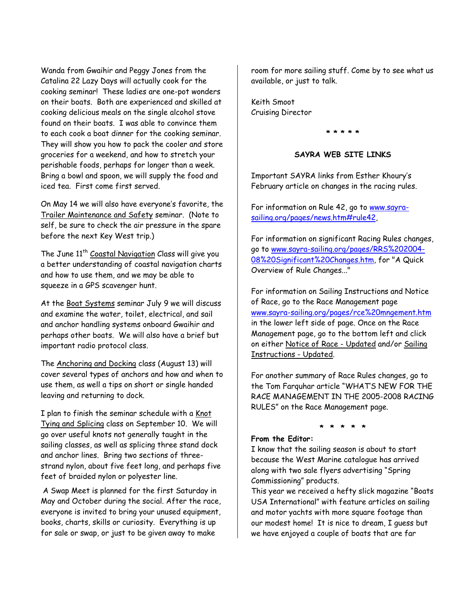Wanda from Gwaihir and Peggy Jones from the Catalina 22 Lazy Days will actually cook for the cooking seminar! These ladies are one-pot wonders on their boats. Both are experienced and skilled at cooking delicious meals on the single alcohol stove found on their boats. I was able to convince them to each cook a boat dinner for the cooking seminar. They will show you how to pack the cooler and store groceries for a weekend, and how to stretch your perishable foods, perhaps for longer than a week. Bring a bowl and spoon, we will supply the food and iced tea. First come first served.

On May 14 we will also have everyone's favorite, the Trailer Maintenance and Safety seminar. (Note to self, be sure to check the air pressure in the spare before the next Key West trip.)

The June 11<sup>th</sup> Coastal Navigation Class will give you a better understanding of coastal navigation charts and how to use them, and we may be able to squeeze in a GPS scavenger hunt.

At the Boat Systems seminar July 9 we will discuss and examine the water, toilet, electrical, and sail and anchor handling systems onboard Gwaihir and perhaps other boats. We will also have a brief but important radio protocol class.

The Anchoring and Docking class (August 13) will cover several types of anchors and how and when to use them, as well a tips on short or single handed leaving and returning to dock.

I plan to finish the seminar schedule with a Knot Tying and Splicing class on September 10. We will go over useful knots not generally taught in the sailing classes, as well as splicing three stand dock and anchor lines. Bring two sections of threestrand nylon, about five feet long, and perhaps five feet of braided nylon or polyester line.

 A Swap Meet is planned for the first Saturday in May and October during the social. After the race, everyone is invited to bring your unused equipment, books, charts, skills or curiosity. Everything is up for sale or swap, or just to be given away to make

room for more sailing stuff. Come by to see what us available, or just to talk.

Keith Smoot Cruising Director

**\* \* \* \* \*** 

### **SAYRA WEB SITE LINKS**

Important SAYRA links from Esther Khoury's February article on changes in the racing rules.

For information on Rule 42, go to www.sayrasailing.org/pages/news.htm#rule42,

For information on significant Racing Rules changes, go to www.sayra-sailing.org/pages/RRS%202004- 08%20Significant%20Changes.htm, for "A Quick Overview of Rule Changes..."

For information on Sailing Instructions and Notice of Race, go to the Race Management page www.sayra-sailing.org/pages/rce%20mngement.htm in the lower left side of page. Once on the Race Management page, go to the bottom left and click on either Notice of Race - Updated and/or Sailing Instructions - Updated.

For another summary of Race Rules changes, go to the Tom Farquhar article "WHAT'S NEW FOR THE RACE MANAGEMENT IN THE 2005-2008 RACING RULES" on the Race Management page.

#### **\* \* \* \* \* From the Editor:**

I know that the sailing season is about to start because the West Marine catalogue has arrived along with two sale flyers advertising "Spring Commissioning" products.

This year we received a hefty slick magazine "Boats USA International" with feature articles on sailing and motor yachts with more square footage than our modest home! It is nice to dream, I guess but we have enjoyed a couple of boats that are far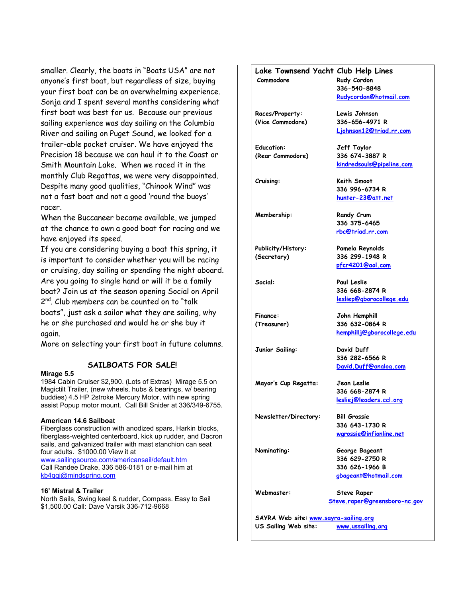smaller. Clearly, the boats in "Boats USA" are not anyone's first boat, but regardless of size, buying your first boat can be an overwhelming experience. Sonja and I spent several months considering what first boat was best for us. Because our previous sailing experience was day sailing on the Columbia River and sailing on Puget Sound, we looked for a trailer-able pocket cruiser. We have enjoyed the Precision 18 because we can haul it to the Coast or Smith Mountain Lake. When we raced it in the monthly Club Regattas, we were very disappointed. Despite many good qualities, "Chinook Wind" was not a fast boat and not a good 'round the buoys' racer.

When the Buccaneer became available, we jumped at the chance to own a good boat for racing and we have enjoyed its speed.

If you are considering buying a boat this spring, it is important to consider whether you will be racing or cruising, day sailing or spending the night aboard. Are you going to single hand or will it be a family boat? Join us at the season opening Social on April 2<sup>nd</sup>. Club members can be counted on to "talk boats", just ask a sailor what they are sailing, why he or she purchased and would he or she buy it again.

More on selecting your first boat in future columns.

#### **SAILBOATS FOR SALE!**

#### **Mirage 5.5**

1984 Cabin Cruiser \$2,900. (Lots of Extras) Mirage 5.5 on Magictilt Trailer, (new wheels, hubs & bearings, w/ bearing buddies) 4.5 HP 2stroke Mercury Motor, with new spring assist Popup motor mount. Call Bill Snider at 336/349-6755.

#### **American 14.6 Sailboat**

Fiberglass construction with anodized spars, Harkin blocks, fiberglass-weighted centerboard, kick up rudder, and Dacron sails, and galvanized trailer with mast stanchion can seat four adults. \$1000.00 View it at www.sailingsource.com/americansail/default.htm Call Randee Drake, 336 586-0181 or e-mail him at kb4qqj@mindspring.com

#### **16' Mistral & Trailer**

North Sails, Swing keel & rudder, Compass. Easy to Sail \$1,500.00 Call: Dave Varsik 336-712-9668

# **Lake Townsend Yacht Club Help Lines Commodore Rudy Cordon 336-540-8848 Rudycordon@hotmail.com Races/Property: Lewis Johnson (Vice Commodore) 336-656-4971 R Ljohnson12@triad.rr.com Education: Jeff Taylor (Rear Commodore) 336 674-3887 R kindredsouls@pipeline.com Cruising: Keith Smoot 336 996-6734 R hunter-23@att.net Membership:** Randy Crum  **336 375-6465 rbc@triad.rr.com Publicity/History: Pamela Reynolds (Secretary) 336 299-1948 R pfcr4201@aol.com Social: Paul Leslie 336 668-2874 R lesliep@gborocollege.edu Finance: John Hemphill (Treasurer) 336 632-0864 R hemphillj@gborocollege.edu Junior Sailing: David Duff 336 282-6566 R David.Duff@analog.com Mayor's Cup Regatta: Jean Leslie 336 668-2874 R lesliej@leaders.ccl.org Newsletter/Directory: Bill Grossie 336 643-1730 R wgrossie@infionline.net Nominating: George Bageant 336 629-2750 R 336 626-1966 B gbageant@hotmail.com Webmaster: Steve Raper Steve.raper@greensboro-nc.gov SAYRA Web site: www.sayra-sailing.org US Sailing Web site: www.ussailing.org**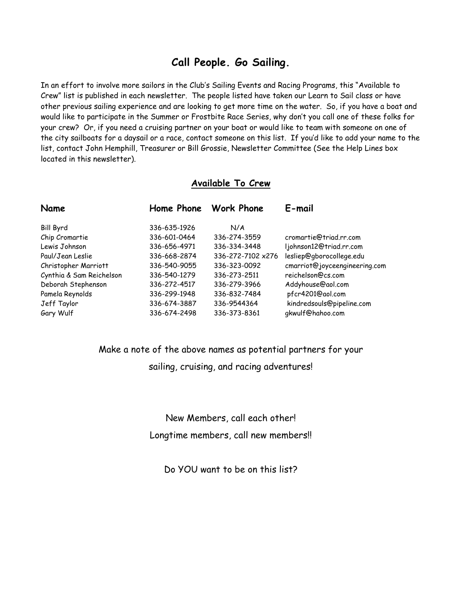# **Call People. Go Sailing.**

In an effort to involve more sailors in the Club's Sailing Events and Racing Programs, this "Available to Crew" list is published in each newsletter. The people listed have taken our Learn to Sail class or have other previous sailing experience and are looking to get more time on the water. So, if you have a boat and would like to participate in the Summer or Frostbite Race Series, why don't you call one of these folks for your crew? Or, if you need a cruising partner on your boat or would like to team with someone on one of the city sailboats for a daysail or a race, contact someone on this list. If you'd like to add your name to the list, contact John Hemphill, Treasurer or Bill Grossie, Newsletter Committee (See the Help Lines box located in this newsletter).

## **Available To Crew**

| Name                     |              | Home Phone Work Phone | E-mail                        |
|--------------------------|--------------|-----------------------|-------------------------------|
| <b>Bill Byrd</b>         | 336-635-1926 | N/A                   |                               |
| Chip Cromartie           | 336-601-0464 | 336-274-3559          | cromartie@triad.rr.com        |
| Lewis Johnson            | 336-656-4971 | 336-334-3448          | ljohnson12@triad.rr.com       |
| Paul/Jean Leslie         | 336-668-2874 | 336-272-7102 x276     | lesliep@gborocollege.edu      |
| Christopher Marriott     | 336-540-9055 | 336-323-0092          | cmarriot@joyceengineering.com |
| Cynthia & Sam Reichelson | 336-540-1279 | 336-273-2511          | reichelson@cs.com             |
| Deborah Stephenson       | 336-272-4517 | 336-279-3966          | Addyhouse@aol.com             |
| Pamela Reynolds          | 336-299-1948 | 336-832-7484          | pfcr4201@aol.com              |
| Jeff Taylor              | 336-674-3887 | 336-9544364           | kindredsouls@pipeline.com     |
| Gary Wulf                | 336-674-2498 | 336-373-8361          | gkwulf@hahoo.com              |

# Make a note of the above names as potential partners for your sailing, cruising, and racing adventures!

New Members, call each other! Longtime members, call new members!!

Do YOU want to be on this list?